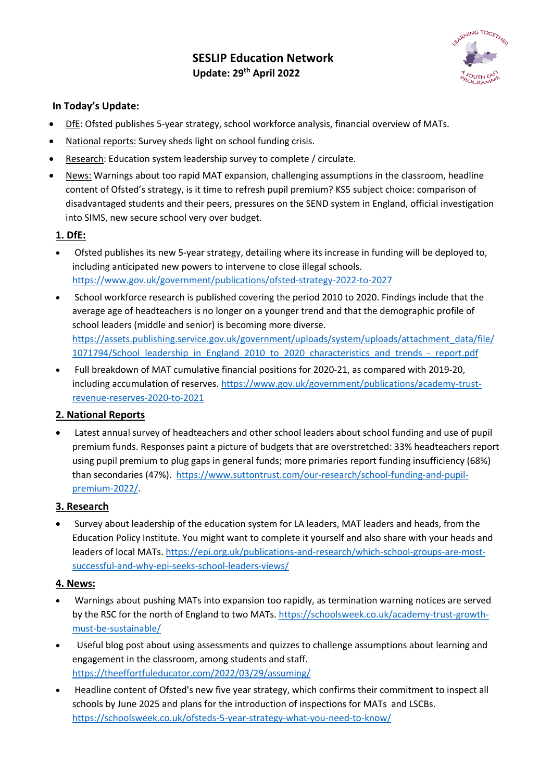

### **In Today's Update:**

- DfE: Ofsted publishes 5-year strategy, school workforce analysis, financial overview of MATs.
- National reports: Survey sheds light on school funding crisis.
- Research: Education system leadership survey to complete / circulate.
- News: Warnings about too rapid MAT expansion, challenging assumptions in the classroom, headline content of Ofsted's strategy, is it time to refresh pupil premium? KS5 subject choice: comparison of disadvantaged students and their peers, pressures on the SEND system in England, official investigation into SIMS, new secure school very over budget.

#### **1. DfE:**

- Ofsted publishes its new 5-year strategy, detailing where its increase in funding will be deployed to, including anticipated new powers to intervene to close illegal schools. https://www.gov.uk/government/publications/ofsted-strategy-2022-to-2027
- School workforce research is published covering the period 2010 to 2020. Findings include that the average age of headteachers is no longer on a younger trend and that the demographic profile of school leaders (middle and senior) is becoming more diverse. https://assets.publishing.service.gov.uk/government/uploads/system/uploads/attachment\_data/file/ 1071794/School\_leadership\_in\_England\_2010\_to\_2020\_characteristics\_and\_trends\_-\_report.pdf
- Full breakdown of MAT cumulative financial positions for 2020-21, as compared with 2019-20, including accumulation of reserves. https://www.gov.uk/government/publications/academy-trustrevenue-reserves-2020-to-2021

# **2. National Reports**

• Latest annual survey of headteachers and other school leaders about school funding and use of pupil premium funds. Responses paint a picture of budgets that are overstretched: 33% headteachers report using pupil premium to plug gaps in general funds; more primaries report funding insufficiency (68%) than secondaries (47%). https://www.suttontrust.com/our-research/school-funding-and-pupilpremium-2022/.

#### **3. Research**

• Survey about leadership of the education system for LA leaders, MAT leaders and heads, from the Education Policy Institute. You might want to complete it yourself and also share with your heads and leaders of local MATs. https://epi.org.uk/publications-and-research/which-school-groups-are-mostsuccessful-and-why-epi-seeks-school-leaders-views/

# **4. News:**

- Warnings about pushing MATs into expansion too rapidly, as termination warning notices are served by the RSC for the north of England to two MATs. https://schoolsweek.co.uk/academy-trust-growthmust-be-sustainable/
- Useful blog post about using assessments and quizzes to challenge assumptions about learning and engagement in the classroom, among students and staff. https://theeffortfuleducator.com/2022/03/29/assuming/
- Headline content of Ofsted's new five year strategy, which confirms their commitment to inspect all schools by June 2025 and plans for the introduction of inspections for MATs and LSCBs. https://schoolsweek.co.uk/ofsteds-5-year-strategy-what-you-need-to-know/